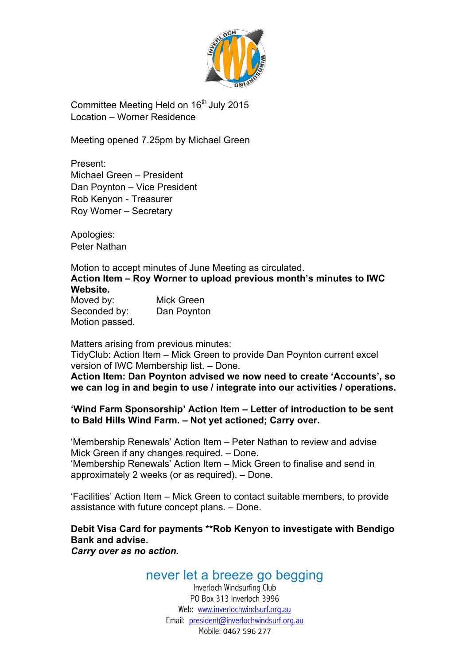

Committee Meeting Held on 16<sup>th</sup> July 2015 Location – Worner Residence

Meeting opened 7.25pm by Michael Green

Present: Michael Green – President Dan Poynton – Vice President Rob Kenyon - Treasurer Roy Worner – Secretary

Apologies: Peter Nathan

Motion to accept minutes of June Meeting as circulated. **Action Item – Roy Worner to upload previous month's minutes to IWC Website.**

Moved by: Mick Green Seconded by: Dan Poynton Motion passed.

Matters arising from previous minutes:

TidyClub: Action Item – Mick Green to provide Dan Poynton current excel version of IWC Membership list. – Done.

**Action Item: Dan Poynton advised we now need to create 'Accounts', so we can log in and begin to use / integrate into our activities / operations.**

### **'Wind Farm Sponsorship' Action Item – Letter of introduction to be sent to Bald Hills Wind Farm. – Not yet actioned; Carry over.**

'Membership Renewals' Action Item – Peter Nathan to review and advise Mick Green if any changes required. – Done. 'Membership Renewals' Action Item – Mick Green to finalise and send in approximately 2 weeks (or as required). – Done.

'Facilities' Action Item – Mick Green to contact suitable members, to provide assistance with future concept plans. – Done.

**Debit Visa Card for payments \*\*Rob Kenyon to investigate with Bendigo Bank and advise.** *Carry over as no action.*

## never let a breeze go begging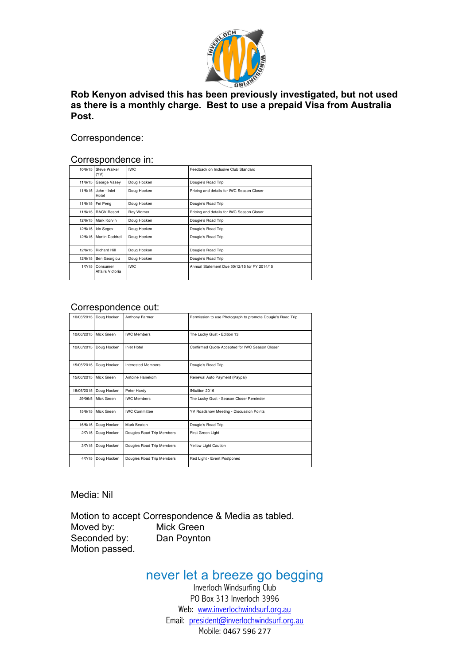

#### **Rob Kenyon advised this has been previously investigated, but not used as there is a monthly charge. Best to use a prepaid Visa from Australia Post.**

#### Correspondence:

#### Correspondence in:

| 10/6/15 | Steve Walker<br>(VV)          | <b>IWC</b>  | Feedback on Inclusive Club Standard          |  |  |  |
|---------|-------------------------------|-------------|----------------------------------------------|--|--|--|
| 11/6/15 | George Vasey                  | Doug Hocken | Dougie's Road Trip                           |  |  |  |
|         | 11/6/15 John - Inlet<br>Hotel | Doug Hocken | Pricing and details for IWC Season Closer    |  |  |  |
|         | 11/6/15 Fei Peng              | Doug Hocken | Dougie's Road Trip                           |  |  |  |
|         | 11/6/15 RACV Resort           | Roy Worner  | Pricing and details for IWC Season Closer    |  |  |  |
|         | 12/6/15 Mark Korvin           | Doug Hocken | Dougie's Road Trip                           |  |  |  |
| 12/6/15 | <b>Ido Segev</b>              | Doug Hocken | Dougie's Road Trip                           |  |  |  |
|         | 12/6/15 Martin Doddrell       | Doug Hocken | Dougie's Road Trip                           |  |  |  |
| 12/6/15 | Richard Hill                  | Doug Hocken | Dougie's Road Trip                           |  |  |  |
| 12/6/15 | Ben Georgiou                  | Doug Hocken | Dougie's Road Trip                           |  |  |  |
| 1/7/15  | Consumer<br>Affairs Victoria  | <b>IWC</b>  | Annual Statement Due 30/12/15 for FY 2014/15 |  |  |  |

#### Correspondence out:

| 10/06/2015 | Doug Hocken            | Anthony Farmer            | Permission to use Photograph to promote Dougie's Road Trip |  |  |  |  |
|------------|------------------------|---------------------------|------------------------------------------------------------|--|--|--|--|
|            | 10/06/2015 Mick Green  | <b>IWC Members</b>        | The Lucky Gust - Edition 13                                |  |  |  |  |
|            | 12/06/2015 Doug Hocken | Inlet Hotel               | Confirmed Quote Accepted for IWC Season Closer             |  |  |  |  |
| 15/06/2015 | Doug Hocken            | <b>Interested Members</b> | Dougie's Road Trip                                         |  |  |  |  |
|            | 15/06/2015 Mick Green  | Antoine Hanekom           | Renewal Auto Payment (Paypal)                              |  |  |  |  |
| 18/06/2015 | Doug Hocken            | Peter Hardy               | INtuition 2016                                             |  |  |  |  |
|            | 29/06/5 Mick Green     | <b>IWC Members</b>        | The Lucky Gust - Season Closer Reminder                    |  |  |  |  |
|            | 15/6/15 Mick Green     | <b>IWC Committee</b>      | YV Roadshow Meeting - Discussion Points                    |  |  |  |  |
| 16/6/15    | Doug Hocken            | Mark Beaton               | Dougie's Road Trip                                         |  |  |  |  |
| 2/7/15     | Doug Hocken            | Dougies Road Trip Members | First Green Light                                          |  |  |  |  |
| 3/7/15     | Doug Hocken            | Dougies Road Trip Members | Yellow Light Caution                                       |  |  |  |  |
| 4/7/15     | Doug Hocken            | Dougies Road Trip Members | Red Light - Event Postponed                                |  |  |  |  |

Media: Nil

Motion to accept Correspondence & Media as tabled. Moved by: Mick Green Seconded by: Dan Poynton Motion passed.

## never let a breeze go begging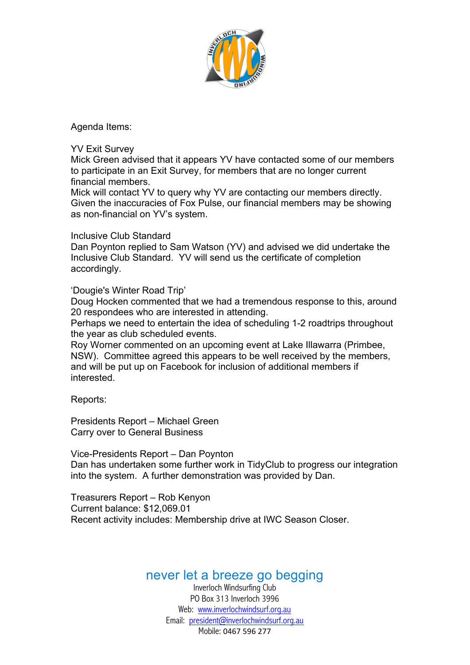

Agenda Items:

#### YV Exit Survey

Mick Green advised that it appears YV have contacted some of our members to participate in an Exit Survey, for members that are no longer current financial members.

Mick will contact YV to query why YV are contacting our members directly. Given the inaccuracies of Fox Pulse, our financial members may be showing as non-financial on YV's system.

### Inclusive Club Standard

Dan Poynton replied to Sam Watson (YV) and advised we did undertake the Inclusive Club Standard. YV will send us the certificate of completion accordingly.

'Dougie's Winter Road Trip'

Doug Hocken commented that we had a tremendous response to this, around 20 respondees who are interested in attending.

Perhaps we need to entertain the idea of scheduling 1-2 roadtrips throughout the year as club scheduled events.

Roy Worner commented on an upcoming event at Lake Illawarra (Primbee, NSW). Committee agreed this appears to be well received by the members, and will be put up on Facebook for inclusion of additional members if interested.

Reports:

Presidents Report – Michael Green Carry over to General Business

Vice-Presidents Report – Dan Poynton Dan has undertaken some further work in TidyClub to progress our integration into the system. A further demonstration was provided by Dan.

Treasurers Report – Rob Kenyon Current balance: \$12,069.01 Recent activity includes: Membership drive at IWC Season Closer.

## never let a breeze go begging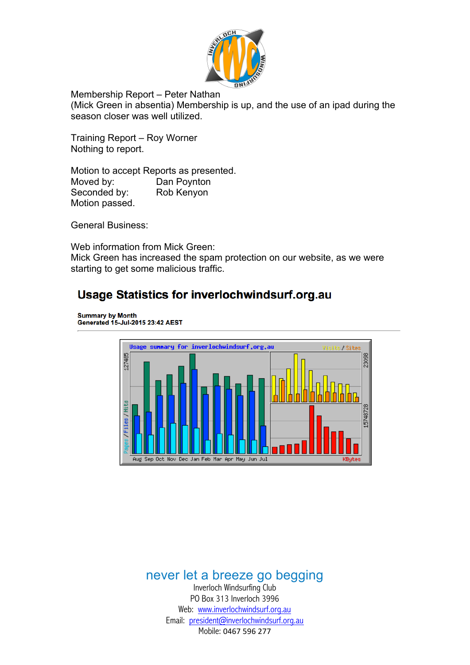

Membership Report – Peter Nathan

(Mick Green in absentia) Membership is up, and the use of an ipad during the season closer was well utilized.

Training Report – Roy Worner Nothing to report.

Motion to accept Reports as presented. Moved by: Dan Poynton Seconded by: Rob Kenyon Motion passed.

General Business:

Web information from Mick Green: Mick Green has increased the spam protection on our website, as we were starting to get some malicious traffic.

# **Usage Statistics for inverlochwindsurf.org.au**

Summary by Month<br>Generated 15-Jul-2015 23:42 AEST



# never let a breeze go begging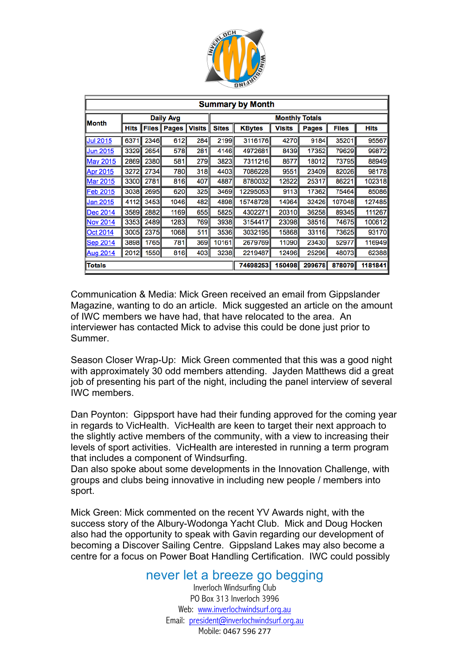

| <b>Summary by Month</b> |                  |      |                        |                       |              |               |               |              |              |             |
|-------------------------|------------------|------|------------------------|-----------------------|--------------|---------------|---------------|--------------|--------------|-------------|
| <b>Month</b>            | <b>Daily Avg</b> |      |                        | <b>Monthly Totals</b> |              |               |               |              |              |             |
|                         | Hits             |      | <b>Files   Pages  </b> | <b>Visits</b>         | <b>Sites</b> | <b>KBytes</b> | <b>Visits</b> | <b>Pages</b> | <b>Files</b> | <b>Hits</b> |
| <b>Jul 2015</b>         | 6371             | 2346 | 612                    | 284                   | 2199         | 3116176       | 4270          | 9184         | 35201        | 95567       |
| <b>Jun 2015</b>         | 3329             | 2654 | 578                    | 281                   | 4146         | 4972681       | 8439          | 17352        | 79629        | 99872       |
| <b>May 2015</b>         | 2869             | 2380 | 581                    | 279                   | 3823         | 7311216       | 8677          | 18012        | 73795        | 88949       |
| <b>Apr 2015</b>         | 3272             | 2734 | 780                    | 318                   | 4403         | 7086228       | 9551          | 23409        | 82026        | 98178       |
| <b>Mar 2015</b>         | 3300             | 2781 | 816                    | 407                   | 4887         | 8780032       | 12622         | 25317        | 86221        | 102318      |
| <b>Feb 2015</b>         | 3038             | 2695 | 620                    | 325                   | 3469         | 12295053      | 9113          | 17362        | 75464        | 85086       |
| Jan 2015                | 4112             | 3453 | 1046                   | 482                   | 4898         | 15748728      | 14964         | 32426        | 107048       | 127485      |
| <b>Dec 2014</b>         | 3589             | 2882 | 1169                   | 655                   | 5825         | 4302271       | 20310         | 36258        | 89345        | 111267      |
| <b>Nov 2014</b>         | 3353             | 2489 | 1283                   | 769                   | 3938         | 3154417       | 23098         | 38516        | 74675        | 100612      |
| <b>Oct 2014</b>         | 3005             | 2375 | 1068                   | 511                   | 3536         | 3032195       | 15868         | 33116        | 73625        | 93170       |
| <b>Sep 2014</b>         | 3898             | 1765 | 781                    | 369                   | 10161        | 2679769       | 11090         | 23430        | 52977        | 116949      |
| <b>Aug 2014</b>         | 2012             | 1550 | 816                    | 403                   | 3238         | 2219487       | 12496         | 25296        | 48073        | 62388       |
| <b>Totals</b>           |                  |      |                        |                       |              | 74698253      | 150498        | 299678       | 878079       | 1181841     |

Communication & Media: Mick Green received an email from Gippslander Magazine, wanting to do an article. Mick suggested an article on the amount of IWC members we have had, that have relocated to the area. An interviewer has contacted Mick to advise this could be done just prior to Summer.

Season Closer Wrap-Up: Mick Green commented that this was a good night with approximately 30 odd members attending. Jayden Matthews did a great job of presenting his part of the night, including the panel interview of several IWC members.

Dan Poynton: Gippsport have had their funding approved for the coming year in regards to VicHealth. VicHealth are keen to target their next approach to the slightly active members of the community, with a view to increasing their levels of sport activities. VicHealth are interested in running a term program that includes a component of Windsurfing.

Dan also spoke about some developments in the Innovation Challenge, with groups and clubs being innovative in including new people / members into sport.

Mick Green: Mick commented on the recent YV Awards night, with the success story of the Albury-Wodonga Yacht Club. Mick and Doug Hocken also had the opportunity to speak with Gavin regarding our development of becoming a Discover Sailing Centre. Gippsland Lakes may also become a centre for a focus on Power Boat Handling Certification. IWC could possibly

## never let a breeze go begging